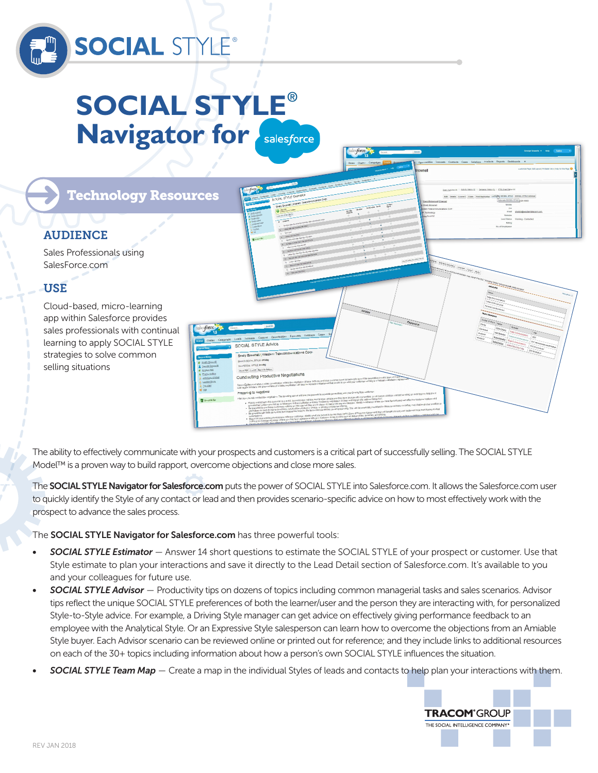

# **SOCIAL STYLE**® **Navigator for Salesforce**

Technology Resources

# AUDIENCE

Sales Professionals using SalesForce.com

# USE

Cloud-based, micro-learning app within Salesforce provides sales professionals with continual learning to apply SOCIAL STYLE strategies to solve common selling situations



The ability to effectively communicate with your prospects and customers is a critical part of successfully selling. The SOCIAL STYLE Model™ is a proven way to build rapport, overcome objections and close more sales.

The **SOCIAL STYLE Navigator for Salesforce.com** puts the power of SOCIAL STYLE into Salesforce.com. It allows the Salesforce.com user to quickly identify the Style of any contact or lead and then provides scenario-specific advice on how to most effectively work with the prospect to advance the sales process.

The **SOCIAL STYLE Navigator for Salesforce.com** has three powerful tools:

- *• SOCIAL STYLE Estimator*  Answer 14 short questions to estimate the SOCIAL STYLE of your prospect or customer. Use that Style estimate to plan your interactions and save it directly to the Lead Detail section of Salesforce.com. It's available to you and your colleagues for future use.
- *• SOCIAL STYLE Advisor* Productivity tips on dozens of topics including common managerial tasks and sales scenarios. Advisor tips reflect the unique SOCIAL STYLE preferences of both the learner/user and the person they are interacting with, for personalized Style-to-Style advice. For example, a Driving Style manager can get advice on effectively giving performance feedback to an employee with the Analytical Style. Or an Expressive Style salesperson can learn how to overcome the objections from an Amiable Style buyer. Each Advisor scenario can be reviewed online or printed out for reference; and they include links to additional resources on each of the 30+ topics including information about how a person's own SOCIAL STYLE influences the situation.
- *• SOCIAL STYLE Team Map* Create a map in the individual Styles of leads and contacts to help plan your interactions with them.